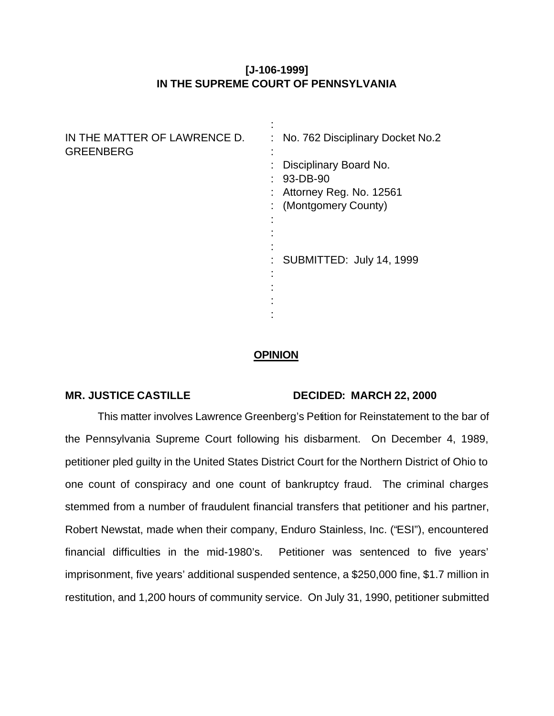# **[J-106-1999] IN THE SUPREME COURT OF PENNSYLVANIA**

| IN THE MATTER OF LAWRENCE D.<br><b>GREENBERG</b> | : No. 762 Disciplinary Docket No.2         |
|--------------------------------------------------|--------------------------------------------|
|                                                  | Disciplinary Board No.<br>$: 93 - DB - 90$ |
|                                                  | : Attorney Reg. No. 12561                  |
|                                                  | : (Montgomery County)                      |
|                                                  |                                            |
|                                                  | : SUBMITTED: July 14, 1999                 |
|                                                  |                                            |
|                                                  |                                            |
|                                                  |                                            |

## **OPINION**

### **MR. JUSTICE CASTILLE DECIDED: MARCH 22, 2000**

This matter involves Lawrence Greenberg's Petition for Reinstatement to the bar of the Pennsylvania Supreme Court following his disbarment. On December 4, 1989, petitioner pled guilty in the United States District Court for the Northern District of Ohio to one count of conspiracy and one count of bankruptcy fraud. The criminal charges stemmed from a number of fraudulent financial transfers that petitioner and his partner, Robert Newstat, made when their company, Enduro Stainless, Inc. ("ESI"), encountered financial difficulties in the mid-1980's. Petitioner was sentenced to five years' imprisonment, five years' additional suspended sentence, a \$250,000 fine, \$1.7 million in restitution, and 1,200 hours of community service. On July 31, 1990, petitioner submitted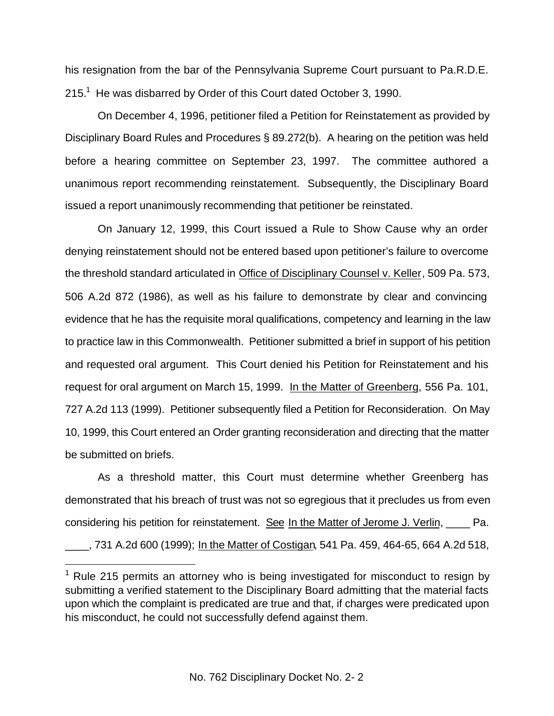his resignation from the bar of the Pennsylvania Supreme Court pursuant to Pa.R.D.E. 215.<sup>1</sup> He was disbarred by Order of this Court dated October 3, 1990.

On December 4, 1996, petitioner filed a Petition for Reinstatement as provided by Disciplinary Board Rules and Procedures § 89.272(b). A hearing on the petition was held before a hearing committee on September 23, 1997. The committee authored a unanimous report recommending reinstatement. Subsequently, the Disciplinary Board issued a report unanimously recommending that petitioner be reinstated.

On January 12, 1999, this Court issued a Rule to Show Cause why an order denying reinstatement should not be entered based upon petitioner's failure to overcome the threshold standard articulated in Office of Disciplinary Counsel v. Keller, 509 Pa. 573, 506 A.2d 872 (1986), as well as his failure to demonstrate by clear and convincing evidence that he has the requisite moral qualifications, competency and learning in the law to practice law in this Commonwealth. Petitioner submitted a brief in support of his petition and requested oral argument. This Court denied his Petition for Reinstatement and his request for oral argument on March 15, 1999. In the Matter of Greenberg, 556 Pa. 101, 727 A.2d 113 (1999). Petitioner subsequently filed a Petition for Reconsideration. On May 10, 1999, this Court entered an Order granting reconsideration and directing that the matter be submitted on briefs.

As a threshold matter, this Court must determine whether Greenberg has demonstrated that his breach of trust was not so egregious that it precludes us from even considering his petition for reinstatement. See In the Matter of Jerome J. Verlin, \_\_\_\_ Pa. \_\_\_\_, 731 A.2d 600 (1999); In the Matter of Costigan, 541 Pa. 459, 464-65, 664 A.2d 518,

 $1$  Rule 215 permits an attorney who is being investigated for misconduct to resign by submitting a verified statement to the Disciplinary Board admitting that the material facts upon which the complaint is predicated are true and that, if charges were predicated upon his misconduct, he could not successfully defend against them.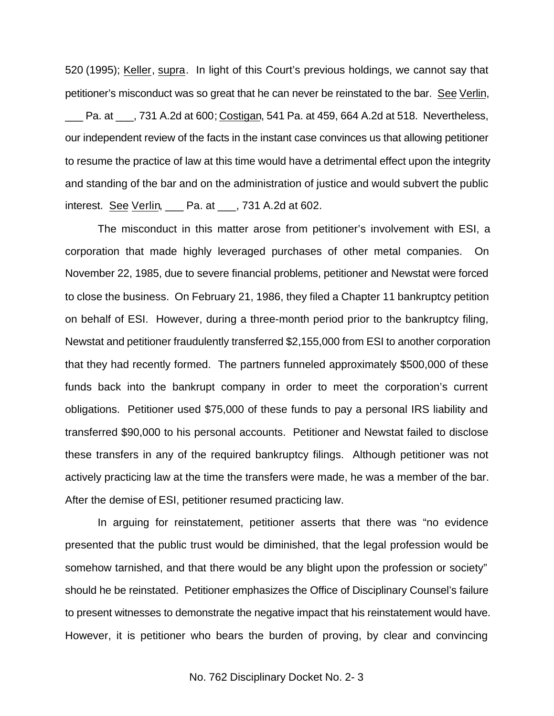520 (1995); Keller, supra. In light of this Court's previous holdings, we cannot say that petitioner's misconduct was so great that he can never be reinstated to the bar. See Verlin,

Pa. at  $\qquad$ , 731 A.2d at 600; Costigan, 541 Pa. at 459, 664 A.2d at 518. Nevertheless, our independent review of the facts in the instant case convinces us that allowing petitioner to resume the practice of law at this time would have a detrimental effect upon the integrity and standing of the bar and on the administration of justice and would subvert the public interest. See Verlin, \_\_\_ Pa. at \_\_\_, 731 A.2d at 602.

The misconduct in this matter arose from petitioner's involvement with ESI, a corporation that made highly leveraged purchases of other metal companies. On November 22, 1985, due to severe financial problems, petitioner and Newstat were forced to close the business. On February 21, 1986, they filed a Chapter 11 bankruptcy petition on behalf of ESI. However, during a three-month period prior to the bankruptcy filing, Newstat and petitioner fraudulently transferred \$2,155,000 from ESI to another corporation that they had recently formed. The partners funneled approximately \$500,000 of these funds back into the bankrupt company in order to meet the corporation's current obligations. Petitioner used \$75,000 of these funds to pay a personal IRS liability and transferred \$90,000 to his personal accounts. Petitioner and Newstat failed to disclose these transfers in any of the required bankruptcy filings. Although petitioner was not actively practicing law at the time the transfers were made, he was a member of the bar. After the demise of ESI, petitioner resumed practicing law.

In arguing for reinstatement, petitioner asserts that there was "no evidence presented that the public trust would be diminished, that the legal profession would be somehow tarnished, and that there would be any blight upon the profession or society" should he be reinstated. Petitioner emphasizes the Office of Disciplinary Counsel's failure to present witnesses to demonstrate the negative impact that his reinstatement would have. However, it is petitioner who bears the burden of proving, by clear and convincing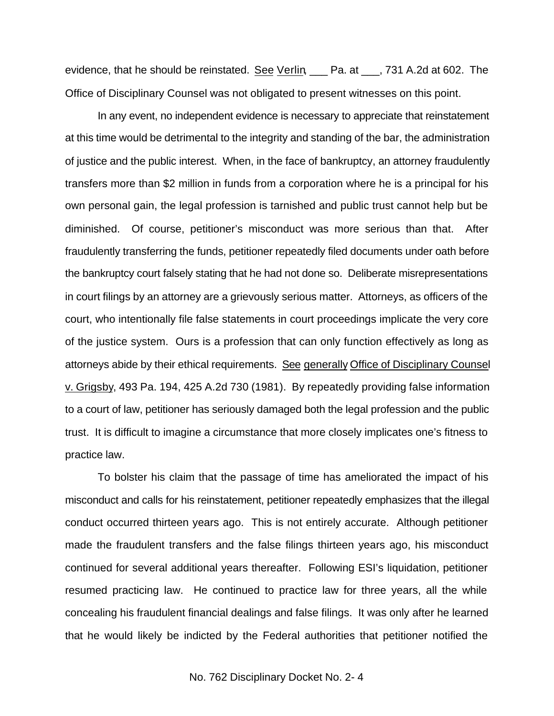evidence, that he should be reinstated. See Verlin, Pa. at \_, 731 A.2d at 602. The Office of Disciplinary Counsel was not obligated to present witnesses on this point.

In any event, no independent evidence is necessary to appreciate that reinstatement at this time would be detrimental to the integrity and standing of the bar, the administration of justice and the public interest. When, in the face of bankruptcy, an attorney fraudulently transfers more than \$2 million in funds from a corporation where he is a principal for his own personal gain, the legal profession is tarnished and public trust cannot help but be diminished. Of course, petitioner's misconduct was more serious than that. After fraudulently transferring the funds, petitioner repeatedly filed documents under oath before the bankruptcy court falsely stating that he had not done so. Deliberate misrepresentations in court filings by an attorney are a grievously serious matter. Attorneys, as officers of the court, who intentionally file false statements in court proceedings implicate the very core of the justice system. Ours is a profession that can only function effectively as long as attorneys abide by their ethical requirements. See generally Office of Disciplinary Counsel v. Grigsby, 493 Pa. 194, 425 A.2d 730 (1981). By repeatedly providing false information to a court of law, petitioner has seriously damaged both the legal profession and the public trust. It is difficult to imagine a circumstance that more closely implicates one's fitness to practice law.

To bolster his claim that the passage of time has ameliorated the impact of his misconduct and calls for his reinstatement, petitioner repeatedly emphasizes that the illegal conduct occurred thirteen years ago. This is not entirely accurate. Although petitioner made the fraudulent transfers and the false filings thirteen years ago, his misconduct continued for several additional years thereafter. Following ESI's liquidation, petitioner resumed practicing law. He continued to practice law for three years, all the while concealing his fraudulent financial dealings and false filings. It was only after he learned that he would likely be indicted by the Federal authorities that petitioner notified the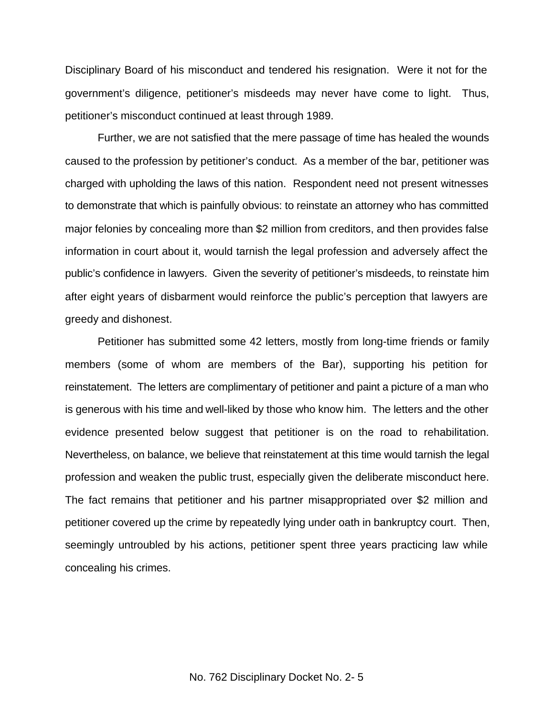Disciplinary Board of his misconduct and tendered his resignation. Were it not for the government's diligence, petitioner's misdeeds may never have come to light. Thus, petitioner's misconduct continued at least through 1989.

Further, we are not satisfied that the mere passage of time has healed the wounds caused to the profession by petitioner's conduct. As a member of the bar, petitioner was charged with upholding the laws of this nation. Respondent need not present witnesses to demonstrate that which is painfully obvious: to reinstate an attorney who has committed major felonies by concealing more than \$2 million from creditors, and then provides false information in court about it, would tarnish the legal profession and adversely affect the public's confidence in lawyers. Given the severity of petitioner's misdeeds, to reinstate him after eight years of disbarment would reinforce the public's perception that lawyers are greedy and dishonest.

Petitioner has submitted some 42 letters, mostly from long-time friends or family members (some of whom are members of the Bar), supporting his petition for reinstatement. The letters are complimentary of petitioner and paint a picture of a man who is generous with his time and well-liked by those who know him. The letters and the other evidence presented below suggest that petitioner is on the road to rehabilitation. Nevertheless, on balance, we believe that reinstatement at this time would tarnish the legal profession and weaken the public trust, especially given the deliberate misconduct here. The fact remains that petitioner and his partner misappropriated over \$2 million and petitioner covered up the crime by repeatedly lying under oath in bankruptcy court. Then, seemingly untroubled by his actions, petitioner spent three years practicing law while concealing his crimes.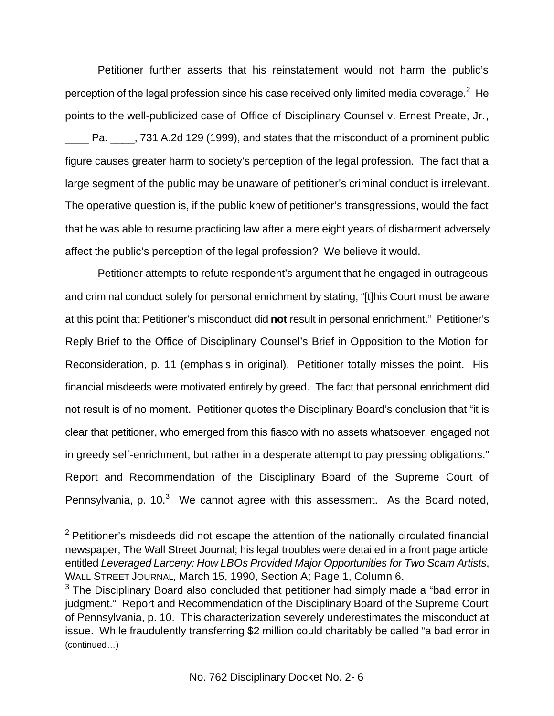Petitioner further asserts that his reinstatement would not harm the public's perception of the legal profession since his case received only limited media coverage.<sup>2</sup> He points to the well-publicized case of Office of Disciplinary Counsel v. Ernest Preate, Jr., \_\_\_\_ Pa. \_\_\_\_, 731 A.2d 129 (1999), and states that the misconduct of a prominent public figure causes greater harm to society's perception of the legal profession. The fact that a large segment of the public may be unaware of petitioner's criminal conduct is irrelevant. The operative question is, if the public knew of petitioner's transgressions, would the fact that he was able to resume practicing law after a mere eight years of disbarment adversely affect the public's perception of the legal profession? We believe it would.

Petitioner attempts to refute respondent's argument that he engaged in outrageous and criminal conduct solely for personal enrichment by stating, "[t]his Court must be aware at this point that Petitioner's misconduct did **not** result in personal enrichment." Petitioner's Reply Brief to the Office of Disciplinary Counsel's Brief in Opposition to the Motion for Reconsideration, p. 11 (emphasis in original). Petitioner totally misses the point. His financial misdeeds were motivated entirely by greed. The fact that personal enrichment did not result is of no moment. Petitioner quotes the Disciplinary Board's conclusion that "it is clear that petitioner, who emerged from this fiasco with no assets whatsoever, engaged not in greedy self-enrichment, but rather in a desperate attempt to pay pressing obligations." Report and Recommendation of the Disciplinary Board of the Supreme Court of Pennsylvania, p. 10. $3$  We cannot agree with this assessment. As the Board noted,

<sup>&</sup>lt;sup>2</sup> Petitioner's misdeeds did not escape the attention of the nationally circulated financial newspaper, The Wall Street Journal; his legal troubles were detailed in a front page article entitled *Leveraged Larceny: How LBOs Provided Major Opportunities for Two Scam Artists*, WALL STREET JOURNAL, March 15, 1990, Section A; Page 1, Column 6.

 $3$  The Disciplinary Board also concluded that petitioner had simply made a "bad error in judgment." Report and Recommendation of the Disciplinary Board of the Supreme Court of Pennsylvania, p. 10. This characterization severely underestimates the misconduct at issue. While fraudulently transferring \$2 million could charitably be called "a bad error in (continued…)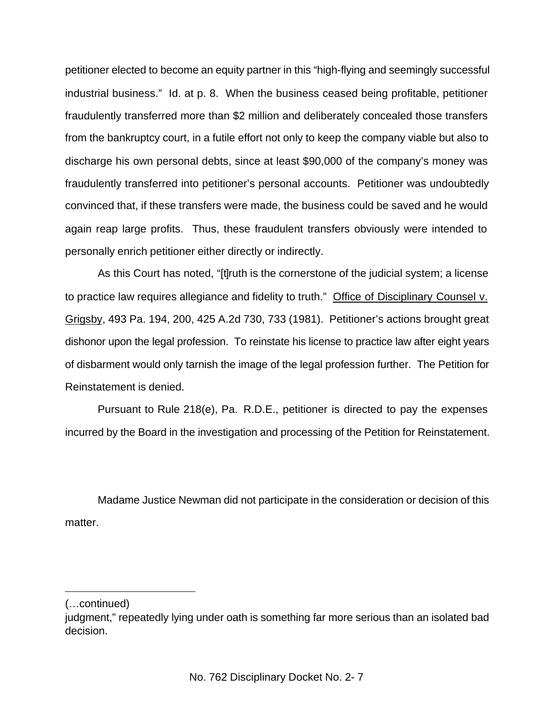petitioner elected to become an equity partner in this "high-flying and seemingly successful industrial business." Id. at p. 8. When the business ceased being profitable, petitioner fraudulently transferred more than \$2 million and deliberately concealed those transfers from the bankruptcy court, in a futile effort not only to keep the company viable but also to discharge his own personal debts, since at least \$90,000 of the company's money was fraudulently transferred into petitioner's personal accounts. Petitioner was undoubtedly convinced that, if these transfers were made, the business could be saved and he would again reap large profits. Thus, these fraudulent transfers obviously were intended to personally enrich petitioner either directly or indirectly.

As this Court has noted, "[t]ruth is the cornerstone of the judicial system; a license to practice law requires allegiance and fidelity to truth." Office of Disciplinary Counsel v. Grigsby, 493 Pa. 194, 200, 425 A.2d 730, 733 (1981). Petitioner's actions brought great dishonor upon the legal profession. To reinstate his license to practice law after eight years of disbarment would only tarnish the image of the legal profession further. The Petition for Reinstatement is denied.

Pursuant to Rule 218(e), Pa. R.D.E., petitioner is directed to pay the expenses incurred by the Board in the investigation and processing of the Petition for Reinstatement.

Madame Justice Newman did not participate in the consideration or decision of this matter.

<sup>(…</sup>continued)

judgment," repeatedly lying under oath is something far more serious than an isolated bad decision.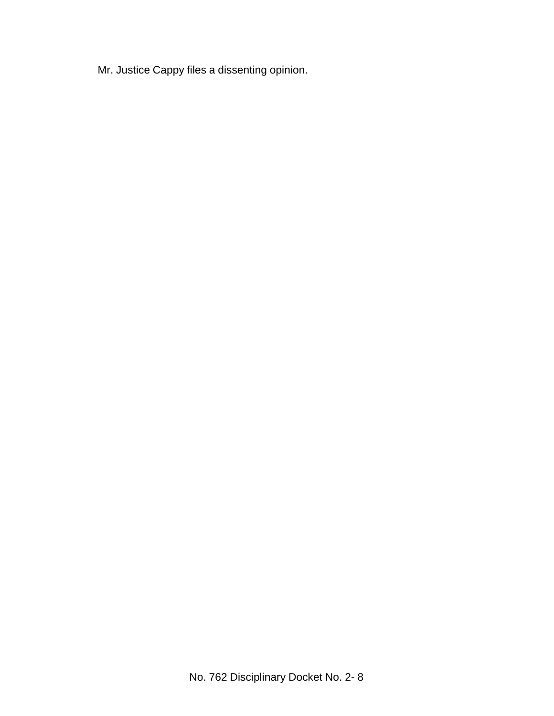Mr. Justice Cappy files a dissenting opinion.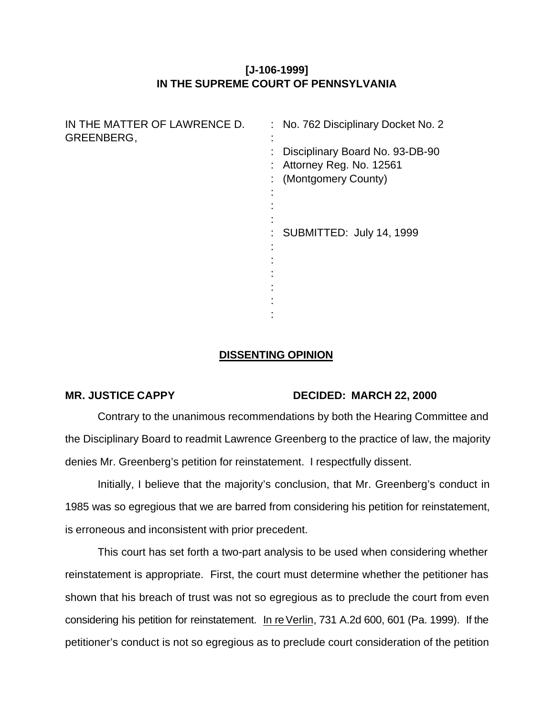# **[J-106-1999] IN THE SUPREME COURT OF PENNSYLVANIA**

| IN THE MATTER OF LAWRENCE D.<br>GREENBERG, | : No. 762 Disciplinary Docket No. 2                          |
|--------------------------------------------|--------------------------------------------------------------|
|                                            | Disciplinary Board No. 93-DB-90<br>: Attorney Reg. No. 12561 |
|                                            | : (Montgomery County)                                        |
|                                            |                                                              |
|                                            | SUBMITTED: July 14, 1999                                     |
|                                            |                                                              |
|                                            |                                                              |
|                                            |                                                              |
|                                            |                                                              |

## **DISSENTING OPINION**

### **MR. JUSTICE CAPPY DECIDED: MARCH 22, 2000**

Contrary to the unanimous recommendations by both the Hearing Committee and the Disciplinary Board to readmit Lawrence Greenberg to the practice of law, the majority denies Mr. Greenberg's petition for reinstatement. I respectfully dissent.

Initially, I believe that the majority's conclusion, that Mr. Greenberg's conduct in 1985 was so egregious that we are barred from considering his petition for reinstatement, is erroneous and inconsistent with prior precedent.

This court has set forth a two-part analysis to be used when considering whether reinstatement is appropriate. First, the court must determine whether the petitioner has shown that his breach of trust was not so egregious as to preclude the court from even considering his petition for reinstatement. In re Verlin, 731 A.2d 600, 601 (Pa. 1999). If the petitioner's conduct is not so egregious as to preclude court consideration of the petition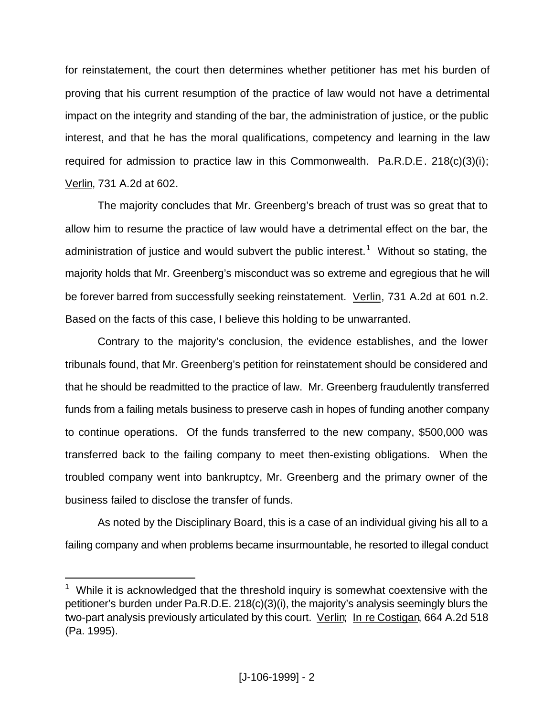for reinstatement, the court then determines whether petitioner has met his burden of proving that his current resumption of the practice of law would not have a detrimental impact on the integrity and standing of the bar, the administration of justice, or the public interest, and that he has the moral qualifications, competency and learning in the law required for admission to practice law in this Commonwealth. Pa.R.D.E. 218(c)(3)(i); Verlin, 731 A.2d at 602.

The majority concludes that Mr. Greenberg's breach of trust was so great that to allow him to resume the practice of law would have a detrimental effect on the bar, the administration of justice and would subvert the public interest.<sup>1</sup> Without so stating, the majority holds that Mr. Greenberg's misconduct was so extreme and egregious that he will be forever barred from successfully seeking reinstatement. Verlin, 731 A.2d at 601 n.2. Based on the facts of this case, I believe this holding to be unwarranted.

Contrary to the majority's conclusion, the evidence establishes, and the lower tribunals found, that Mr. Greenberg's petition for reinstatement should be considered and that he should be readmitted to the practice of law. Mr. Greenberg fraudulently transferred funds from a failing metals business to preserve cash in hopes of funding another company to continue operations. Of the funds transferred to the new company, \$500,000 was transferred back to the failing company to meet then-existing obligations. When the troubled company went into bankruptcy, Mr. Greenberg and the primary owner of the business failed to disclose the transfer of funds.

As noted by the Disciplinary Board, this is a case of an individual giving his all to a failing company and when problems became insurmountable, he resorted to illegal conduct

 $1$  While it is acknowledged that the threshold inquiry is somewhat coextensive with the petitioner's burden under Pa.R.D.E. 218(c)(3)(i), the majority's analysis seemingly blurs the two-part analysis previously articulated by this court. Verlin; In re Costigan, 664 A.2d 518 (Pa. 1995).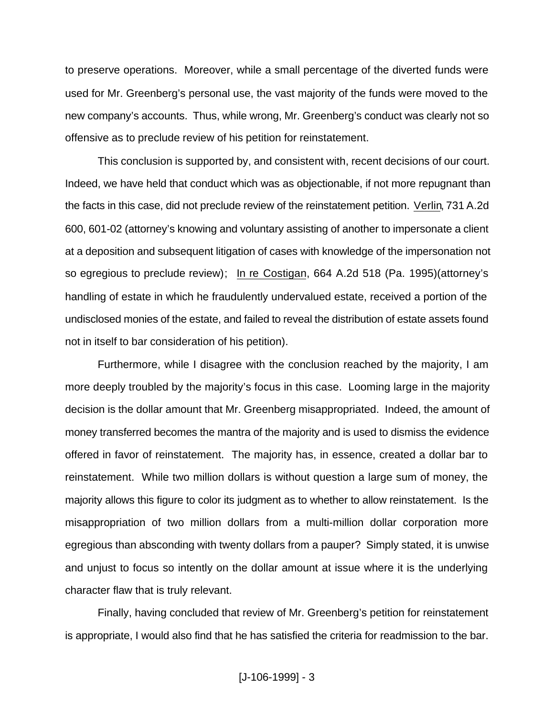to preserve operations. Moreover, while a small percentage of the diverted funds were used for Mr. Greenberg's personal use, the vast majority of the funds were moved to the new company's accounts. Thus, while wrong, Mr. Greenberg's conduct was clearly not so offensive as to preclude review of his petition for reinstatement.

This conclusion is supported by, and consistent with, recent decisions of our court. Indeed, we have held that conduct which was as objectionable, if not more repugnant than the facts in this case, did not preclude review of the reinstatement petition. Verlin, 731 A.2d 600, 601-02 (attorney's knowing and voluntary assisting of another to impersonate a client at a deposition and subsequent litigation of cases with knowledge of the impersonation not so egregious to preclude review); In re Costigan, 664 A.2d 518 (Pa. 1995)(attorney's handling of estate in which he fraudulently undervalued estate, received a portion of the undisclosed monies of the estate, and failed to reveal the distribution of estate assets found not in itself to bar consideration of his petition).

Furthermore, while I disagree with the conclusion reached by the majority, I am more deeply troubled by the majority's focus in this case. Looming large in the majority decision is the dollar amount that Mr. Greenberg misappropriated. Indeed, the amount of money transferred becomes the mantra of the majority and is used to dismiss the evidence offered in favor of reinstatement. The majority has, in essence, created a dollar bar to reinstatement. While two million dollars is without question a large sum of money, the majority allows this figure to color its judgment as to whether to allow reinstatement. Is the misappropriation of two million dollars from a multi-million dollar corporation more egregious than absconding with twenty dollars from a pauper? Simply stated, it is unwise and unjust to focus so intently on the dollar amount at issue where it is the underlying character flaw that is truly relevant.

Finally, having concluded that review of Mr. Greenberg's petition for reinstatement is appropriate, I would also find that he has satisfied the criteria for readmission to the bar.